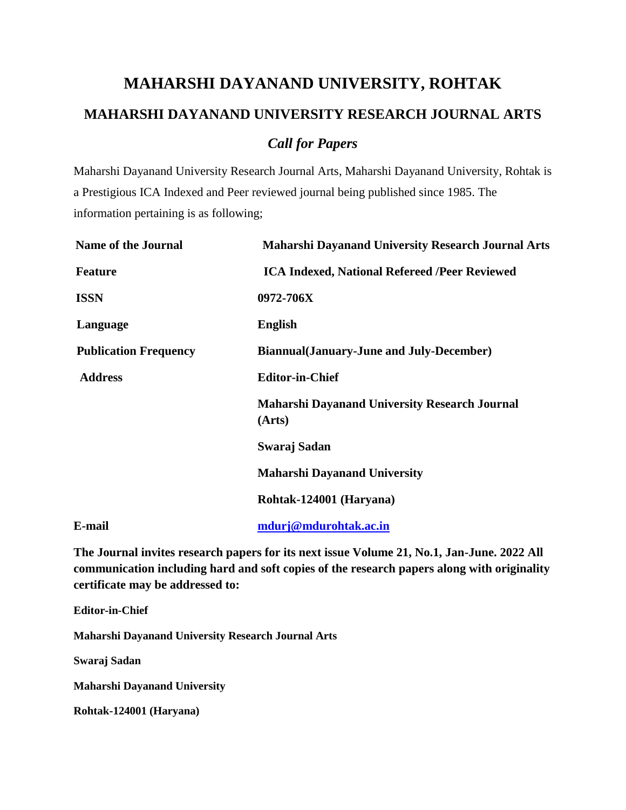## **MAHARSHI DAYANAND UNIVERSITY, ROHTAK MAHARSHI DAYANAND UNIVERSITY RESEARCH JOURNAL ARTS** *Call for Papers*

Maharshi Dayanand University Research Journal Arts, Maharshi Dayanand University, Rohtak is a Prestigious ICA Indexed and Peer reviewed journal being published since 1985. The information pertaining is as following;

| <b>Name of the Journal</b>   | <b>Maharshi Dayanand University Research Journal Arts</b>      |
|------------------------------|----------------------------------------------------------------|
| <b>Feature</b>               | <b>ICA Indexed, National Refereed /Peer Reviewed</b>           |
| <b>ISSN</b>                  | 0972-706X                                                      |
| Language                     | <b>English</b>                                                 |
| <b>Publication Frequency</b> | <b>Biannual</b> (January-June and July-December)               |
| <b>Address</b>               | <b>Editor-in-Chief</b>                                         |
|                              | <b>Maharshi Dayanand University Research Journal</b><br>(Arts) |
|                              | Swaraj Sadan                                                   |
|                              | <b>Maharshi Dayanand University</b>                            |
|                              | Rohtak-124001 (Haryana)                                        |
| E-mail                       | mdurj@mdurohtak.ac.in                                          |

**The Journal invites research papers for its next issue Volume 21, No.1, Jan-June. 2022 All communication including hard and soft copies of the research papers along with originality certificate may be addressed to:**

**Editor-in-Chief**

**Maharshi Dayanand University Research Journal Arts**

**Swaraj Sadan** 

**Maharshi Dayanand University**

**Rohtak-124001 (Haryana)**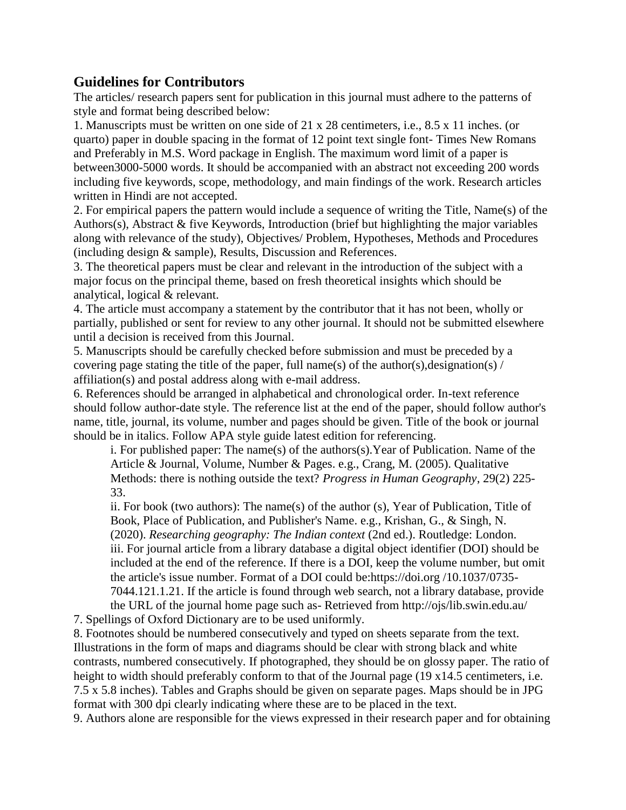## **Guidelines for Contributors**

The articles/ research papers sent for publication in this journal must adhere to the patterns of style and format being described below:

1. Manuscripts must be written on one side of 21 x 28 centimeters, i.e., 8.5 x 11 inches. (or quarto) paper in double spacing in the format of 12 point text single font- Times New Romans and Preferably in M.S. Word package in English. The maximum word limit of a paper is between3000-5000 words. It should be accompanied with an abstract not exceeding 200 words including five keywords, scope, methodology, and main findings of the work. Research articles written in Hindi are not accepted.

2. For empirical papers the pattern would include a sequence of writing the Title, Name(s) of the Authors(s), Abstract & five Keywords, Introduction (brief but highlighting the major variables along with relevance of the study), Objectives/ Problem, Hypotheses, Methods and Procedures (including design & sample), Results, Discussion and References.

3. The theoretical papers must be clear and relevant in the introduction of the subject with a major focus on the principal theme, based on fresh theoretical insights which should be analytical, logical & relevant.

4. The article must accompany a statement by the contributor that it has not been, wholly or partially, published or sent for review to any other journal. It should not be submitted elsewhere until a decision is received from this Journal.

5. Manuscripts should be carefully checked before submission and must be preceded by a covering page stating the title of the paper, full name(s) of the author(s),designation(s) / affiliation(s) and postal address along with e-mail address.

6. References should be arranged in alphabetical and chronological order. In-text reference should follow author-date style. The reference list at the end of the paper, should follow author's name, title, journal, its volume, number and pages should be given. Title of the book or journal should be in italics. Follow APA style guide latest edition for referencing.

i. For published paper: The name(s) of the authors(s).Year of Publication. Name of the Article & Journal, Volume, Number & Pages. e.g., Crang, M. (2005). Qualitative Methods: there is nothing outside the text? *Progress in Human Geography*, 29(2) 225- 33.

ii. For book (two authors): The name(s) of the author (s), Year of Publication, Title of Book, Place of Publication, and Publisher's Name. e.g., Krishan, G., & Singh, N. (2020). *Researching geography: The Indian context* (2nd ed.). Routledge: London. iii. For journal article from a library database a digital object identifier (DOI) should be included at the end of the reference. If there is a DOI, keep the volume number, but omit the article's issue number. Format of a DOI could be:https://doi.org /10.1037/0735- 7044.121.1.21. If the article is found through web search, not a library database, provide

the URL of the journal home page such as- Retrieved from http://ojs/lib.swin.edu.au/ 7. Spellings of Oxford Dictionary are to be used uniformly.

8. Footnotes should be numbered consecutively and typed on sheets separate from the text. Illustrations in the form of maps and diagrams should be clear with strong black and white contrasts, numbered consecutively. If photographed, they should be on glossy paper. The ratio of height to width should preferably conform to that of the Journal page (19 x 14.5 centimeters, i.e. 7.5 x 5.8 inches). Tables and Graphs should be given on separate pages. Maps should be in JPG format with 300 dpi clearly indicating where these are to be placed in the text.

9. Authors alone are responsible for the views expressed in their research paper and for obtaining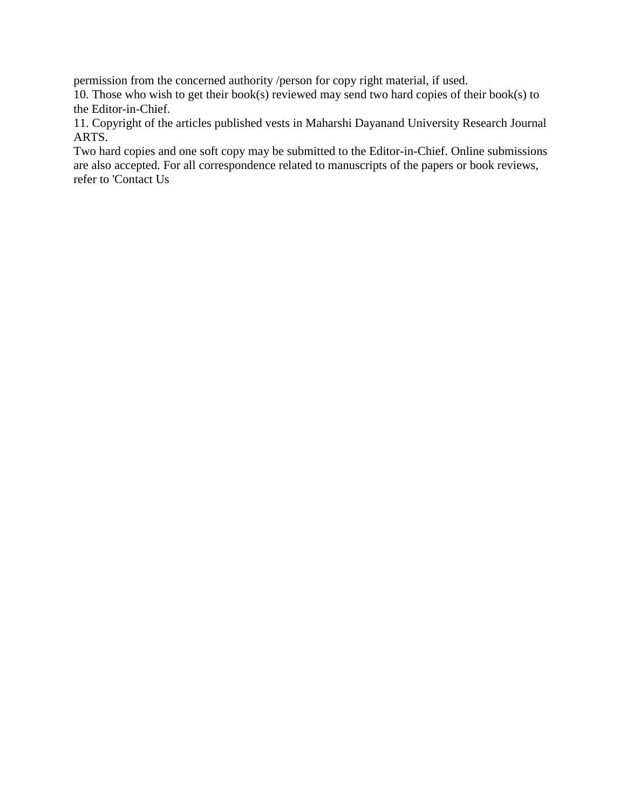permission from the concerned authority /person for copy right material, if used.

10. Those who wish to get their book(s) reviewed may send two hard copies of their book(s) to the Editor-in-Chief.

11. Copyright of the articles published vests in Maharshi Dayanand University Research Journal ARTS.

Two hard copies and one soft copy may be submitted to the Editor-in-Chief. Online submissions are also accepted. For all correspondence related to manuscripts of the papers or book reviews, refer to 'Contact Us